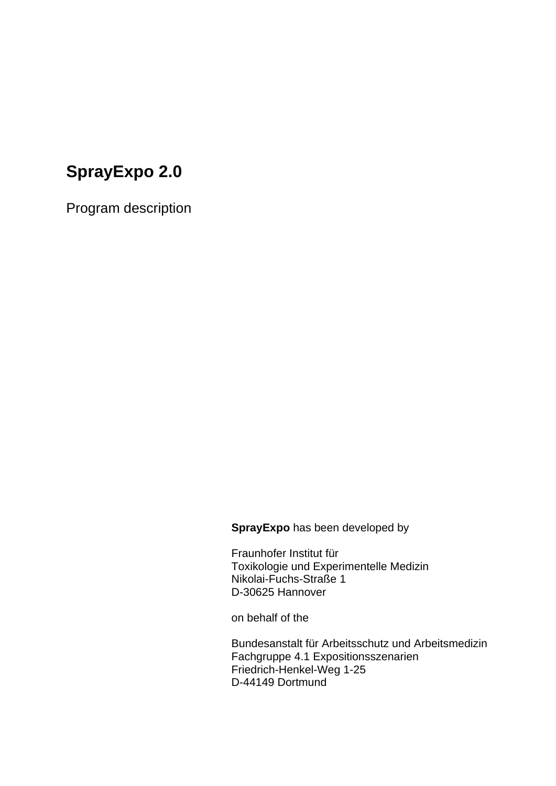# **SprayExpo 2.0**

Program description

**SprayExpo** has been developed by

Fraunhofer Institut für Toxikologie und Experimentelle Medizin Nikolai-Fuchs-Straße 1 D-30625 Hannover

on behalf of the

Bundesanstalt für Arbeitsschutz und Arbeitsmedizin Fachgruppe 4.1 Expositionsszenarien Friedrich-Henkel-Weg 1-25 D-44149 Dortmund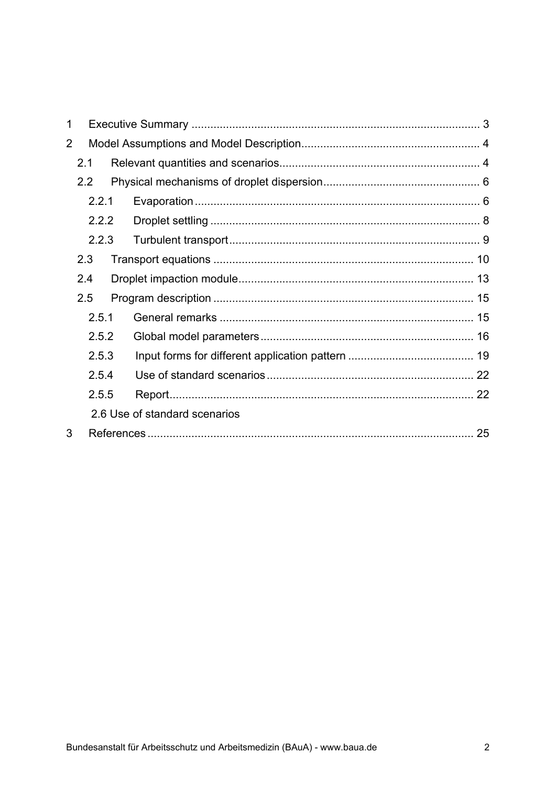| 1              |       |       |  |                               |  |  |
|----------------|-------|-------|--|-------------------------------|--|--|
| $\overline{2}$ |       |       |  |                               |  |  |
|                | 2.1   |       |  |                               |  |  |
|                | 2.2   |       |  |                               |  |  |
|                |       | 2.2.1 |  |                               |  |  |
|                |       | 2.2.2 |  |                               |  |  |
|                |       | 2.2.3 |  |                               |  |  |
|                | 2.3   |       |  |                               |  |  |
|                | 2.4   |       |  |                               |  |  |
|                | 2.5   |       |  |                               |  |  |
|                |       | 2.5.1 |  |                               |  |  |
| 2.5.2<br>2.5.3 |       |       |  |                               |  |  |
|                |       |       |  |                               |  |  |
|                | 2.5.4 |       |  |                               |  |  |
| 2.5.5          |       |       |  |                               |  |  |
|                |       |       |  | 2.6 Use of standard scenarios |  |  |
| 3              |       |       |  |                               |  |  |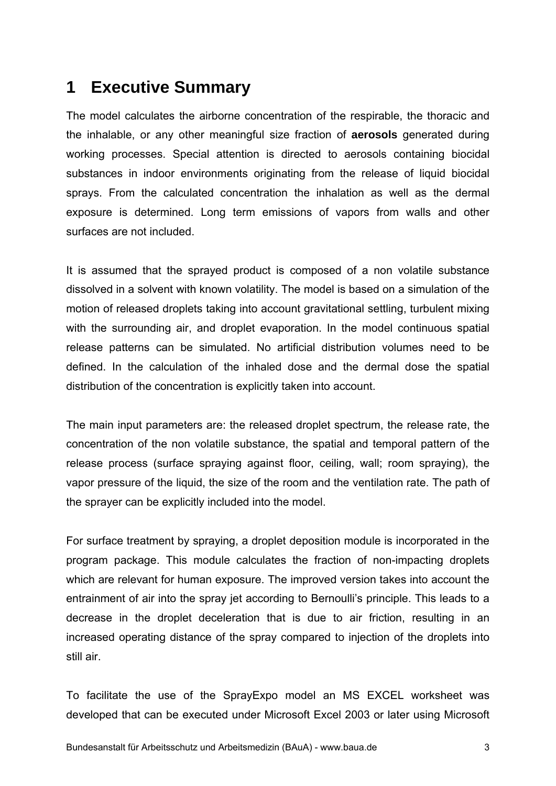# **1 Executive Summary**

The model calculates the airborne concentration of the respirable, the thoracic and the inhalable, or any other meaningful size fraction of **aerosols** generated during working processes. Special attention is directed to aerosols containing biocidal substances in indoor environments originating from the release of liquid biocidal sprays. From the calculated concentration the inhalation as well as the dermal exposure is determined. Long term emissions of vapors from walls and other surfaces are not included.

It is assumed that the sprayed product is composed of a non volatile substance dissolved in a solvent with known volatility. The model is based on a simulation of the motion of released droplets taking into account gravitational settling, turbulent mixing with the surrounding air, and droplet evaporation. In the model continuous spatial release patterns can be simulated. No artificial distribution volumes need to be defined. In the calculation of the inhaled dose and the dermal dose the spatial distribution of the concentration is explicitly taken into account.

The main input parameters are: the released droplet spectrum, the release rate, the concentration of the non volatile substance, the spatial and temporal pattern of the release process (surface spraying against floor, ceiling, wall; room spraying), the vapor pressure of the liquid, the size of the room and the ventilation rate. The path of the sprayer can be explicitly included into the model.

For surface treatment by spraying, a droplet deposition module is incorporated in the program package. This module calculates the fraction of non-impacting droplets which are relevant for human exposure. The improved version takes into account the entrainment of air into the spray jet according to Bernoulli's principle. This leads to a decrease in the droplet deceleration that is due to air friction, resulting in an increased operating distance of the spray compared to injection of the droplets into still air.

To facilitate the use of the SprayExpo model an MS EXCEL worksheet was developed that can be executed under Microsoft Excel 2003 or later using Microsoft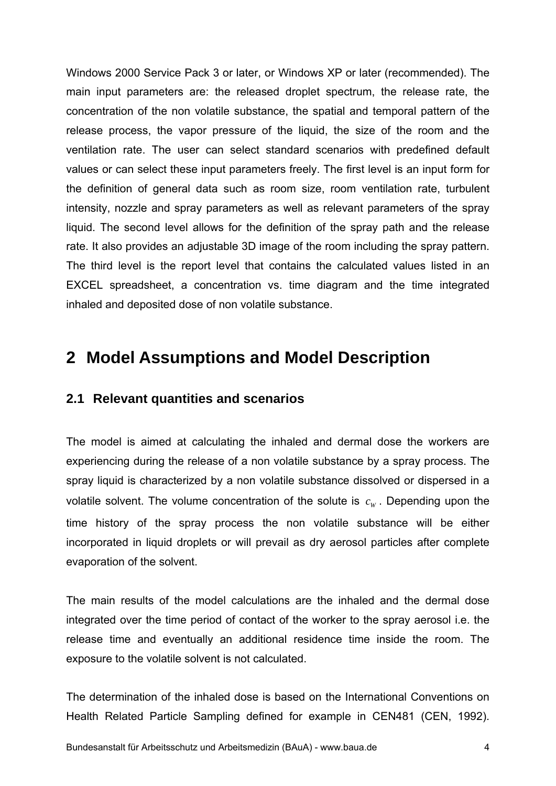Windows 2000 Service Pack 3 or later, or Windows XP or later (recommended). The main input parameters are: the released droplet spectrum, the release rate, the concentration of the non volatile substance, the spatial and temporal pattern of the release process, the vapor pressure of the liquid, the size of the room and the ventilation rate. The user can select standard scenarios with predefined default values or can select these input parameters freely. The first level is an input form for the definition of general data such as room size, room ventilation rate, turbulent intensity, nozzle and spray parameters as well as relevant parameters of the spray liquid. The second level allows for the definition of the spray path and the release rate. It also provides an adjustable 3D image of the room including the spray pattern. The third level is the report level that contains the calculated values listed in an EXCEL spreadsheet, a concentration vs. time diagram and the time integrated inhaled and deposited dose of non volatile substance.

## **2 Model Assumptions and Model Description**

## **2.1 Relevant quantities and scenarios**

The model is aimed at calculating the inhaled and dermal dose the workers are experiencing during the release of a non volatile substance by a spray process. The spray liquid is characterized by a non volatile substance dissolved or dispersed in a volatile solvent. The volume concentration of the solute is  $c_w$ . Depending upon the time history of the spray process the non volatile substance will be either incorporated in liquid droplets or will prevail as dry aerosol particles after complete evaporation of the solvent.

The main results of the model calculations are the inhaled and the dermal dose integrated over the time period of contact of the worker to the spray aerosol i.e. the release time and eventually an additional residence time inside the room. The exposure to the volatile solvent is not calculated.

The determination of the inhaled dose is based on the International Conventions on Health Related Particle Sampling defined for example in CEN481 (CEN, 1992).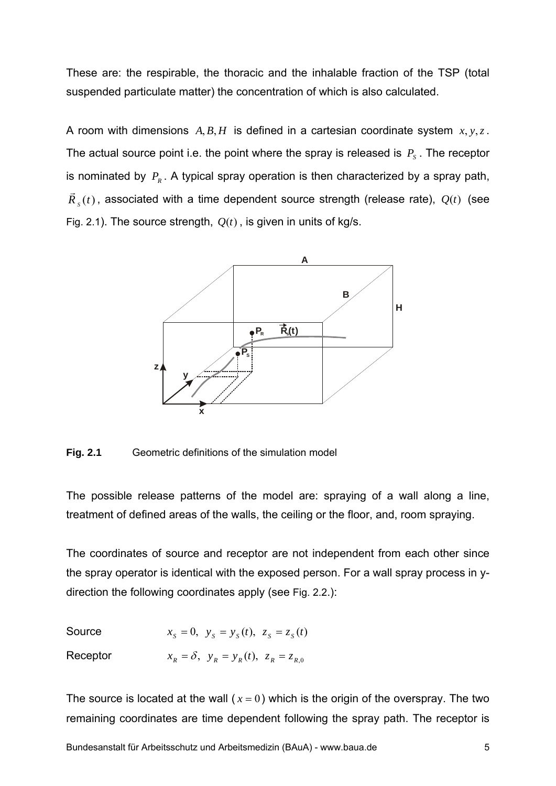These are: the respirable, the thoracic and the inhalable fraction of the TSP (total suspended particulate matter) the concentration of which is also calculated.

A room with dimensions *A*, *B*, *H* is defined in a cartesian coordinate system *x*, *y*,*z*. The actual source point i.e. the point where the spray is released is  $P_s$ . The receptor is nominated by  $P_R$ . A typical spray operation is then characterized by a spray path,  $\vec{R}_{s}(t)$ , associated with a time dependent source strength (release rate),  $Q(t)$  (see Fig. 2.1). The source strength,  $Q(t)$ , is given in units of kg/s.



**Fig. 2.1** Geometric definitions of the simulation model

The possible release patterns of the model are: spraying of a wall along a line, treatment of defined areas of the walls, the ceiling or the floor, and, room spraying.

The coordinates of source and receptor are not independent from each other since the spray operator is identical with the exposed person. For a wall spray process in ydirection the following coordinates apply (see Fig. 2.2.):

Source  $x_s = 0$ ,  $y_s = y_s(t)$ ,  $z_s = z_s(t)$ Receptor  $x_R = \delta$ ,  $y_R = y_R(t)$ ,  $z_R = z_{R,0}$ 

The source is located at the wall ( $x = 0$ ) which is the origin of the overspray. The two remaining coordinates are time dependent following the spray path. The receptor is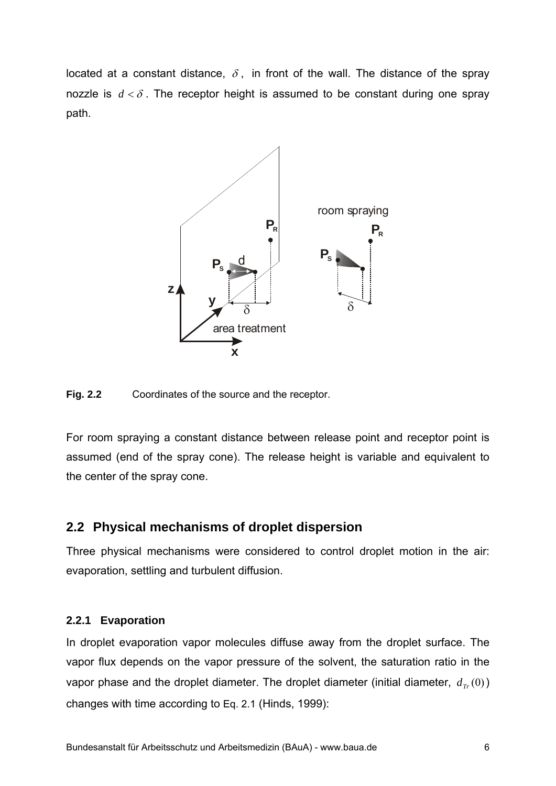located at a constant distance,  $\delta$ , in front of the wall. The distance of the spray nozzle is  $d < \delta$ . The receptor height is assumed to be constant during one spray path.



**Fig. 2.2** Coordinates of the source and the receptor.

For room spraying a constant distance between release point and receptor point is assumed (end of the spray cone). The release height is variable and equivalent to the center of the spray cone.

## **2.2 Physical mechanisms of droplet dispersion**

Three physical mechanisms were considered to control droplet motion in the air: evaporation, settling and turbulent diffusion.

## **2.2.1 Evaporation**

In droplet evaporation vapor molecules diffuse away from the droplet surface. The vapor flux depends on the vapor pressure of the solvent, the saturation ratio in the vapor phase and the droplet diameter. The droplet diameter (initial diameter,  $d_{\tau}$   $(0)$ ) changes with time according to Eq. 2.1 (Hinds, 1999):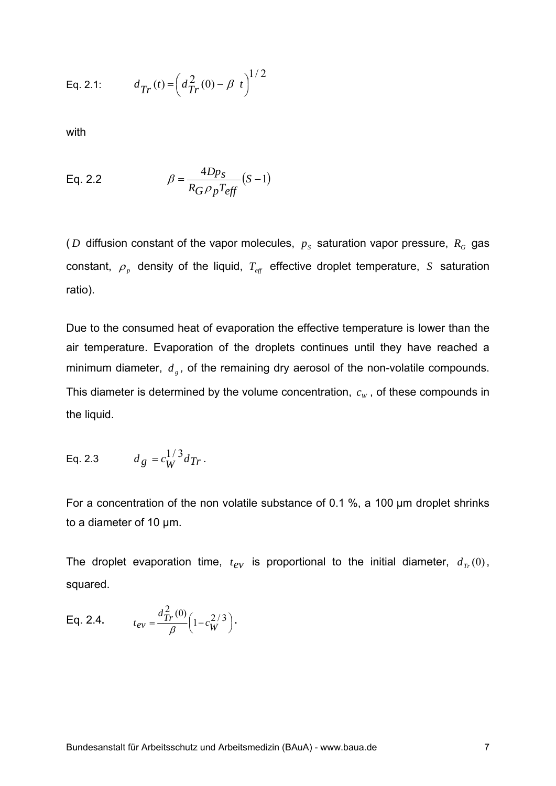Eq. 2.1: 
$$
d_{Tr}(t) = \left(d_{Tr}^2(0) - \beta t\right)^{1/2}
$$

with

Eq. 2.2 
$$
\beta = \frac{4Dp_s}{R_G \rho_p T_{eff}} (S-1)
$$

( $D$  diffusion constant of the vapor molecules,  $p<sub>s</sub>$  saturation vapor pressure,  $R<sub>G</sub>$  gas constant,  $\rho_p$  density of the liquid,  $T_{\text{eff}}$  effective droplet temperature, *S* saturation ratio).

Due to the consumed heat of evaporation the effective temperature is lower than the air temperature. Evaporation of the droplets continues until they have reached a minimum diameter,  $d_{\varphi}$ , of the remaining dry aerosol of the non-volatile compounds. This diameter is determined by the volume concentration,  $c_w$ , of these compounds in the liquid.

Eq. 2.3 
$$
d_g = c_W^{1/3} d_{Tr}
$$
.

For a concentration of the non volatile substance of 0.1 %, a 100 µm droplet shrinks to a diameter of 10 µm.

The droplet evaporation time,  $t_{ev}$  is proportional to the initial diameter,  $d_{Tr}(0)$ , squared.

Eq. 2.4. 
$$
t_{ev} = \frac{d_{Tr}^{2}(0)}{\beta} \left(1 - c_{W}^{2/3}\right).
$$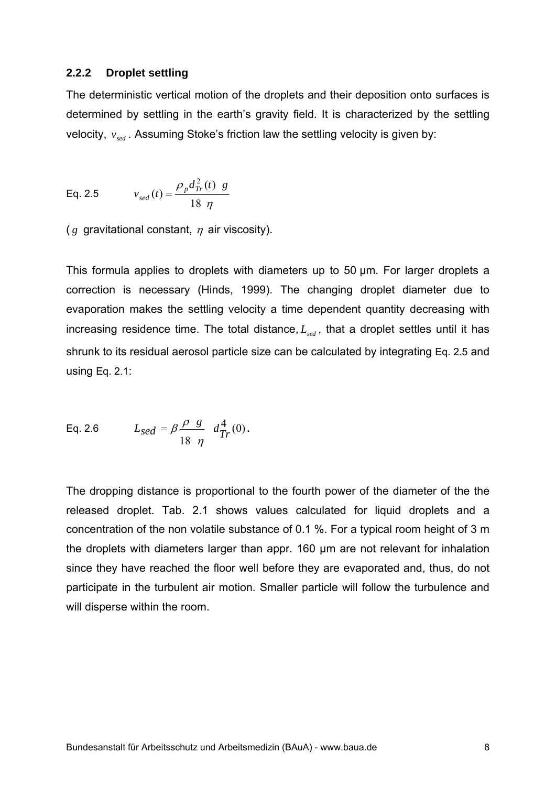#### **2.2.2 Droplet settling**

The deterministic vertical motion of the droplets and their deposition onto surfaces is determined by settling in the earth's gravity field. It is characterized by the settling velocity,  $v_{\text{red}}$ . Assuming Stoke's friction law the settling velocity is given by:

Eq. 2.5 
$$
v_{sed}(t) = \frac{\rho_p d_{Tr}^2(t) g}{18 \eta}
$$

( $g$  gravitational constant,  $\eta$  air viscosity).

This formula applies to droplets with diameters up to 50 µm. For larger droplets a correction is necessary (Hinds, 1999). The changing droplet diameter due to evaporation makes the settling velocity a time dependent quantity decreasing with increasing residence time. The total distance,  $L_{\text{sed}}$ , that a droplet settles until it has shrunk to its residual aerosol particle size can be calculated by integrating Eq. 2.5 and using Eq. 2.1:

Eq. 2.6 
$$
L_{sed} = \beta \frac{\rho g}{18 \eta} d_{Tr}^4(0)
$$
.

The dropping distance is proportional to the fourth power of the diameter of the the released droplet. Tab. 2.1 shows values calculated for liquid droplets and a concentration of the non volatile substance of 0.1 %. For a typical room height of 3 m the droplets with diameters larger than appr. 160 µm are not relevant for inhalation since they have reached the floor well before they are evaporated and, thus, do not participate in the turbulent air motion. Smaller particle will follow the turbulence and will disperse within the room.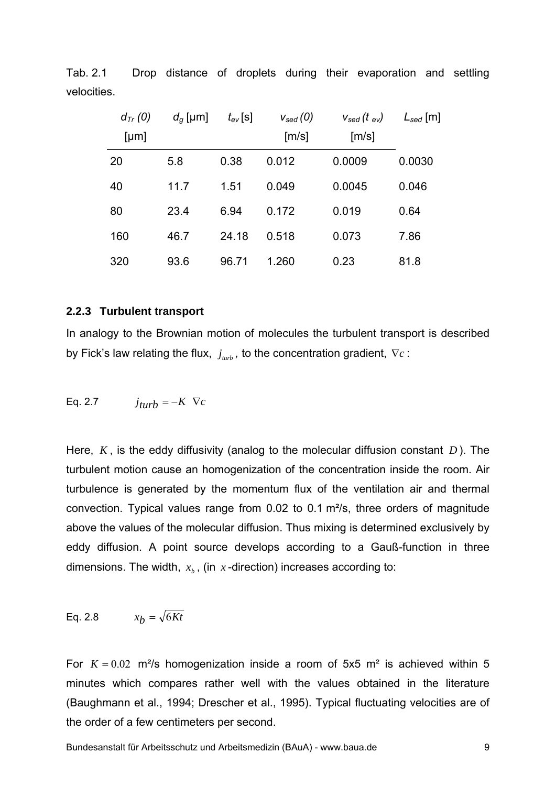| $d_{Tr} (0)$<br>[µm] | $d_q$ [µm] | $t_{ev}$ [s] | $V_{sed}(0)$<br>[m/s] | $V_{sed}$ (t $_{ev}$ )<br>[m/s] | $L_{sed}$ [m] |
|----------------------|------------|--------------|-----------------------|---------------------------------|---------------|
| 20                   | 5.8        | 0.38         | 0.012                 | 0.0009                          | 0.0030        |
| 40                   | 11.7       | 1.51         | 0.049                 | 0.0045                          | 0.046         |
| 80                   | 23.4       | 6.94         | 0.172                 | 0.019                           | 0.64          |
| 160                  | 46.7       | 24.18        | 0.518                 | 0.073                           | 7.86          |
| 320                  | 93.6       | 96.71        | 1.260                 | 0.23                            | 81.8          |

Tab. 2.1 Drop distance of droplets during their evaporation and settling velocities.

#### **2.2.3 Turbulent transport**

In analogy to the Brownian motion of molecules the turbulent transport is described by Fick's law relating the flux,  $j_{\text{sub}}$ , to the concentration gradient,  $\nabla c$ :

Eq. 2.7 
$$
j_{turb} = -K \ \nabla c
$$

Here, *K* , is the eddy diffusivity (analog to the molecular diffusion constant *D* ). The turbulent motion cause an homogenization of the concentration inside the room. Air turbulence is generated by the momentum flux of the ventilation air and thermal convection. Typical values range from 0.02 to 0.1 m²/s, three orders of magnitude above the values of the molecular diffusion. Thus mixing is determined exclusively by eddy diffusion. A point source develops according to a Gauß-function in three dimensions. The width,  $x<sub>h</sub>$ , (in  $x$ -direction) increases according to:

Eq. 2.8 
$$
x_b = \sqrt{6Kt}
$$

For  $K = 0.02$  m<sup>2</sup>/s homogenization inside a room of 5x5 m<sup>2</sup> is achieved within 5 minutes which compares rather well with the values obtained in the literature (Baughmann et al., 1994; Drescher et al., 1995). Typical fluctuating velocities are of the order of a few centimeters per second.

Bundesanstalt für Arbeitsschutz und Arbeitsmedizin (BAuA) - www.baua.de 9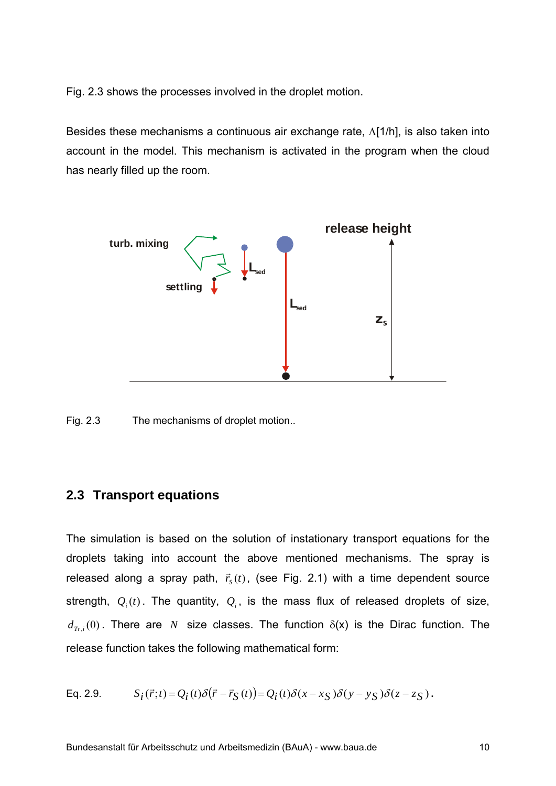Fig. 2.3 shows the processes involved in the droplet motion.

Besides these mechanisms a continuous air exchange rate,  $\Lambda$ [1/h], is also taken into account in the model. This mechanism is activated in the program when the cloud has nearly filled up the room.



Fig. 2.3 The mechanisms of droplet motion..

## **2.3 Transport equations**

The simulation is based on the solution of instationary transport equations for the droplets taking into account the above mentioned mechanisms. The spray is released along a spray path,  $\vec{r}_s(t)$ , (see Fig. 2.1) with a time dependent source strength,  $Q_i(t)$ . The quantity,  $Q_i$ , is the mass flux of released droplets of size,  $d_{Tr,i}(0)$ . There are *N* size classes. The function  $\delta(x)$  is the Dirac function. The release function takes the following mathematical form:

Eq. 2.9. 
$$
S_i(\vec{r};t) = Q_i(t)\delta(\vec{r} - \vec{r}_S(t)) = Q_i(t)\delta(x - x_S)\delta(y - y_S)\delta(z - z_S).
$$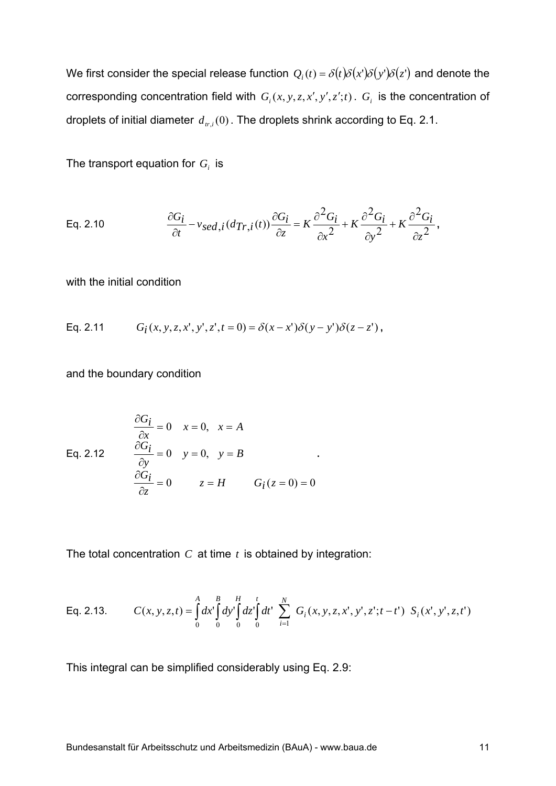We first consider the special release function  $Q_i(t) = \delta(t)\delta(x)\delta(y)\delta(z)$  and denote the corresponding concentration field with  $G_i(x, y, z, x', y', z';t)$ .  $G_i$  is the concentration of droplets of initial diameter  $d_{tri}(0)$ . The droplets shrink according to Eq. 2.1.

The transport equation for  $G_i$  is

Eq. 2.10 
$$
\frac{\partial G_i}{\partial t} - v_{sed,i}(d_{Tr,i}(t)) \frac{\partial G_i}{\partial z} = K \frac{\partial^2 G_i}{\partial x^2} + K \frac{\partial^2 G_i}{\partial y^2} + K \frac{\partial^2 G_i}{\partial z^2},
$$

with the initial condition

Eq. 2.11 
$$
G_i(x, y, z, x', y', z', t = 0) = \delta(x - x')\delta(y - y')\delta(z - z')
$$
,

and the boundary condition

Eq. 2.12 
$$
\frac{\partial G_i}{\partial x} = 0 \quad x = 0, \quad x = A
$$

$$
\frac{\partial G_i}{\partial y} = 0 \quad y = 0, \quad y = B
$$

$$
\frac{\partial G_i}{\partial z} = 0 \quad z = H \quad G_i(z = 0) = 0
$$

The total concentration *C* at time *t* is obtained by integration:

Eq. 2.13. 
$$
C(x, y, z, t) = \int_{0}^{A} dx' \int_{0}^{B} dy' \int_{0}^{H} dz' \int_{0}^{t} dt' \sum_{i=1}^{N} G_i(x, y, z, x', y', z'; t - t') S_i(x', y', z, t')
$$

**.** 

This integral can be simplified considerably using Eq. 2.9: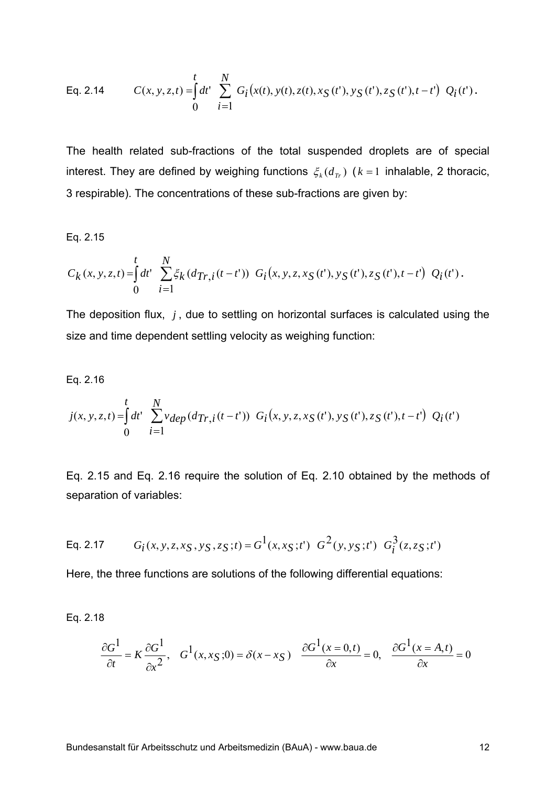Eq. 2.14 
$$
C(x, y, z, t) = \int_0^t dt' \sum_{i=1}^N G_i(x(t), y(t), z(t), x_S(t'), y_S(t'), z_S(t'), t-t') Q_i(t').
$$

The health related sub-fractions of the total suspended droplets are of special interest. They are defined by weighing functions  $\xi_k(d_T)$  ( $k=1$  inhalable, 2 thoracic, 3 respirable). The concentrations of these sub-fractions are given by:

#### Eq. 2.15

$$
C_k(x, y, z, t) = \int_0^t dt' \sum_{i=1}^N \xi_k (d_{Tr, i}(t-t')) G_i(x, y, z, x_S(t'), y_S(t'), z_S(t'), t-t') Q_i(t').
$$

The deposition flux, *j* , due to settling on horizontal surfaces is calculated using the size and time dependent settling velocity as weighing function:

Eq. 2.16

$$
j(x, y, z, t) = \int_0^t dt' \sum_{i=1}^N v_{dep} (d_{Tr, i}(t - t')) G_i(x, y, z, x_S(t'), y_S(t'), z_S(t'), t - t') Q_i(t')
$$

Eq. 2.15 and Eq. 2.16 require the solution of Eq. 2.10 obtained by the methods of separation of variables:

Eq. 2.17 
$$
G_i(x, y, z, x_S, y_S, z_S; t) = G^1(x, x_S; t') G^2(y, y_S; t') G_i^3(z, z_S; t')
$$

Here, the three functions are solutions of the following differential equations:

Eq. 2.18

$$
\frac{\partial G^1}{\partial t} = K \frac{\partial G^1}{\partial x^2}, \quad G^1(x, x, y; 0) = \delta(x - x, y) \quad \frac{\partial G^1(x = 0, t)}{\partial x} = 0, \quad \frac{\partial G^1(x = A, t)}{\partial x} = 0
$$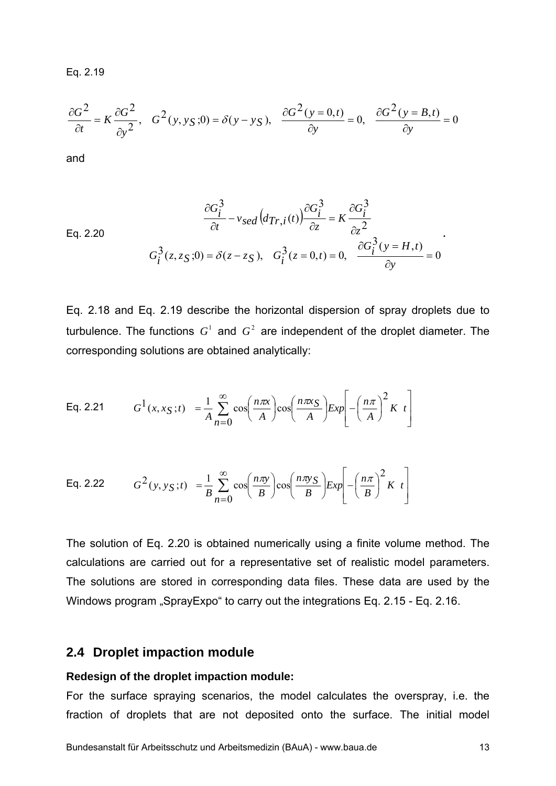Eq. 2.19

$$
\frac{\partial G^2}{\partial t} = K \frac{\partial G^2}{\partial y^2}, \quad G^2(y, y_S; 0) = \delta(y - y_S), \quad \frac{\partial G^2(y = 0, t)}{\partial y} = 0, \quad \frac{\partial G^2(y = B, t)}{\partial y} = 0
$$

and

Eq. 2.20  
\n
$$
\frac{\partial G_i^3}{\partial t} - v_{sed}(d_{Tr,i}(t)) \frac{\partial G_i^3}{\partial z} = K \frac{\partial G_i^3}{\partial z^2}
$$
\n
$$
G_i^3(z, z_S; 0) = \delta(z - z_S), \quad G_i^3(z = 0, t) = 0, \quad \frac{\partial G_i^3}{\partial y} = 0
$$

Eq. 2.18 and Eq. 2.19 describe the horizontal dispersion of spray droplets due to turbulence. The functions  $G^1$  and  $G^2$  are independent of the droplet diameter. The corresponding solutions are obtained analytically:

Eq. 2.21 
$$
G^{1}(x, x_{S}; t) = \frac{1}{A} \sum_{n=0}^{\infty} \cos\left(\frac{n\pi x}{A}\right) \cos\left(\frac{n\pi x_{S}}{A}\right) E x p \left[-\left(\frac{n\pi}{A}\right)^{2} K t\right]
$$

Eq. 2.22 
$$
G^{2}(y, y_{S}; t) = \frac{1}{B} \sum_{n=0}^{\infty} \cos\left(\frac{n\pi y}{B}\right) \cos\left(\frac{n\pi y_{S}}{B}\right) E x p \left[-\left(\frac{n\pi}{B}\right)^{2} K t\right]
$$

The solution of Eq. 2.20 is obtained numerically using a finite volume method. The calculations are carried out for a representative set of realistic model parameters. The solutions are stored in corresponding data files. These data are used by the Windows program "SprayExpo" to carry out the integrations Eq. 2.15 - Eq. 2.16.

#### **2.4 Droplet impaction module**

#### **Redesign of the droplet impaction module:**

For the surface spraying scenarios, the model calculates the overspray, i.e. the fraction of droplets that are not deposited onto the surface. The initial model

**.**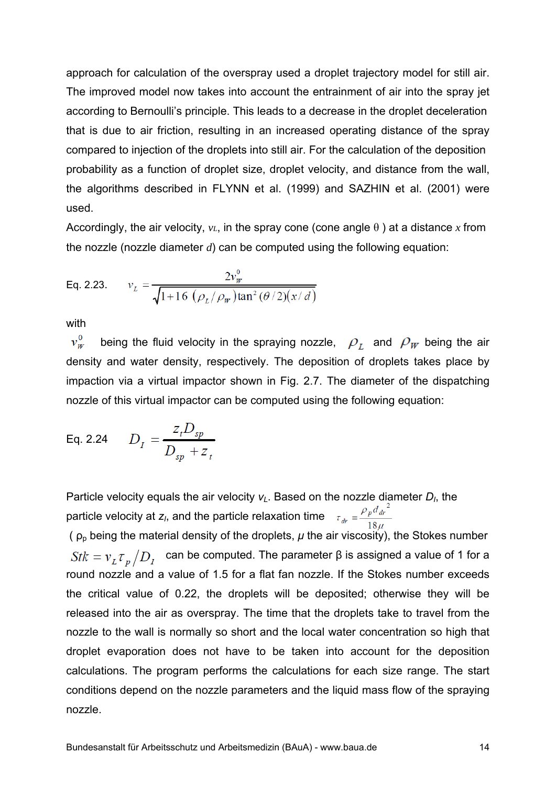approach for calculation of the overspray used a droplet trajectory model for still air. The improved model now takes into account the entrainment of air into the spray jet according to Bernoulli's principle. This leads to a decrease in the droplet deceleration that is due to air friction, resulting in an increased operating distance of the spray compared to injection of the droplets into still air. For the calculation of the deposition probability as a function of droplet size, droplet velocity, and distance from the wall, the algorithms described in FLYNN et al. (1999) and SAZHIN et al. (2001) were used.

Accordingly, the air velocity,  $v_L$ , in the spray cone (cone angle  $\theta$ ) at a distance x from the nozzle (nozzle diameter *d*) can be computed using the following equation:

Eq. 2.23. 
$$
v_L = \frac{2v_W^0}{\sqrt{1 + 16 \left(\frac{\rho_L}{\rho_W}\right) \tan^2(\theta/2)(x/d)}}
$$

with

 $v_W^0$  being the fluid velocity in the spraying nozzle,  $\rho_L$  and  $\rho_W$  being the air density and water density, respectively. The deposition of droplets takes place by impaction via a virtual impactor shown in Fig. 2.7. The diameter of the dispatching nozzle of this virtual impactor can be computed using the following equation:

Eq. 2.24 
$$
D_I = \frac{z_t D_{sp}}{D_{sp} + z_t}
$$

Particle velocity equals the air velocity  $v_L$ . Based on the nozzle diameter  $D_l$ , the particle velocity at *z<sub>I</sub>*, and the particle relaxation time  $\tau_{dr} = \frac{\rho_p d_{dr}^2}{100}$ 

( $\rho_p$  being the material density of the droplets,  $\mu$  the air viscosity), the Stokes number  $Stk = v_L \tau_p / D_I$  can be computed. The parameter β is assigned a value of 1 for a round nozzle and a value of 1.5 for a flat fan nozzle. If the Stokes number exceeds the critical value of 0.22, the droplets will be deposited; otherwise they will be released into the air as overspray. The time that the droplets take to travel from the nozzle to the wall is normally so short and the local water concentration so high that droplet evaporation does not have to be taken into account for the deposition calculations. The program performs the calculations for each size range. The start conditions depend on the nozzle parameters and the liquid mass flow of the spraying nozzle.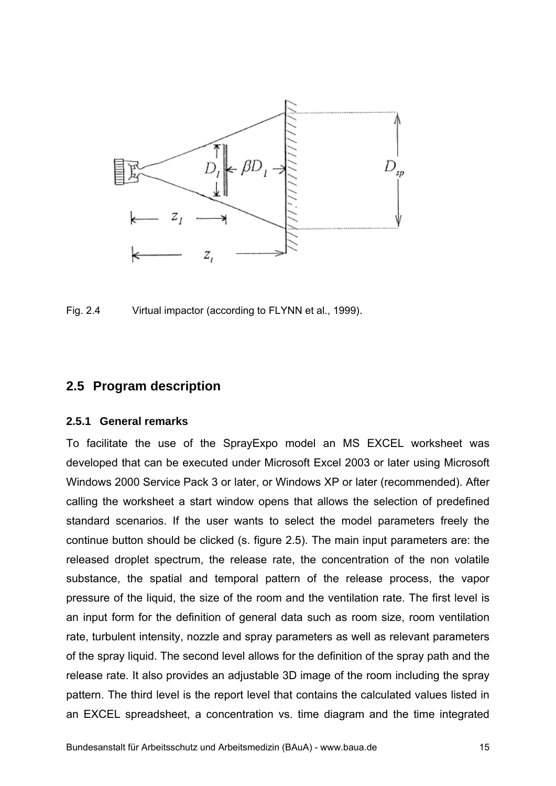

Fig. 2.4 Virtual impactor (according to FLYNN et al., 1999).

## **2.5 Program description**

#### **2.5.1 General remarks**

To facilitate the use of the SprayExpo model an MS EXCEL worksheet was developed that can be executed under Microsoft Excel 2003 or later using Microsoft Windows 2000 Service Pack 3 or later, or Windows XP or later (recommended). After calling the worksheet a start window opens that allows the selection of predefined standard scenarios. If the user wants to select the model parameters freely the continue button should be clicked (s. figure 2.5). The main input parameters are: the released droplet spectrum, the release rate, the concentration of the non volatile substance, the spatial and temporal pattern of the release process, the vapor pressure of the liquid, the size of the room and the ventilation rate. The first level is an input form for the definition of general data such as room size, room ventilation rate, turbulent intensity, nozzle and spray parameters as well as relevant parameters of the spray liquid. The second level allows for the definition of the spray path and the release rate. It also provides an adjustable 3D image of the room including the spray pattern. The third level is the report level that contains the calculated values listed in an EXCEL spreadsheet, a concentration vs. time diagram and the time integrated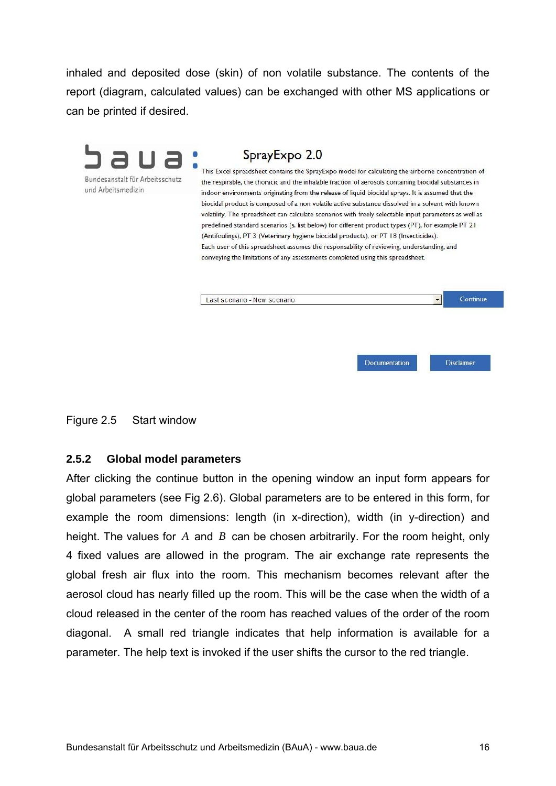inhaled and deposited dose (skin) of non volatile substance. The contents of the report (diagram, calculated values) can be exchanged with other MS applications or can be printed if desired.

| Bundesanstalt für Arbeitsschutz<br>und Arbeitsmedizin | This Excel spreadsheet contains the SprayExpo model for calculating the airborne concentration of<br>the respirable, the thoracic and the inhalable fraction of aerosols containing biocidal substances in<br>indoor environments originating from the release of liquid biocidal sprays. It is assumed that the<br>biocidal product is composed of a non volatile active substance dissolved in a solvent with known<br>volatility. The spreadsheet can calculate scenarios with freely selectable input parameters as well as<br>predefined standard scenarios (s. list below) for different product types (PT), for example PT 21<br>(Antifoulings), PT 3 (Veterinary hygiene biocidal products), or PT 18 (Insecticides).<br>Each user of this spreadsheet assumes the responsability of reviewing, understanding, and<br>conveying the limitations of any assessments completed using this spreadsheet. |  |  |  |  |
|-------------------------------------------------------|--------------------------------------------------------------------------------------------------------------------------------------------------------------------------------------------------------------------------------------------------------------------------------------------------------------------------------------------------------------------------------------------------------------------------------------------------------------------------------------------------------------------------------------------------------------------------------------------------------------------------------------------------------------------------------------------------------------------------------------------------------------------------------------------------------------------------------------------------------------------------------------------------------------|--|--|--|--|
|                                                       | Continue<br>Last scenario - New scenario                                                                                                                                                                                                                                                                                                                                                                                                                                                                                                                                                                                                                                                                                                                                                                                                                                                                     |  |  |  |  |

Figure 2.5 Start window

### **2.5.2 Global model parameters**

After clicking the continue button in the opening window an input form appears for global parameters (see Fig 2.6). Global parameters are to be entered in this form, for example the room dimensions: length (in x-direction), width (in y-direction) and height. The values for *A* and *B* can be chosen arbitrarily. For the room height, only 4 fixed values are allowed in the program. The air exchange rate represents the global fresh air flux into the room. This mechanism becomes relevant after the aerosol cloud has nearly filled up the room. This will be the case when the width of a cloud released in the center of the room has reached values of the order of the room diagonal. A small red triangle indicates that help information is available for a parameter. The help text is invoked if the user shifts the cursor to the red triangle.

Disclaimer

Documentation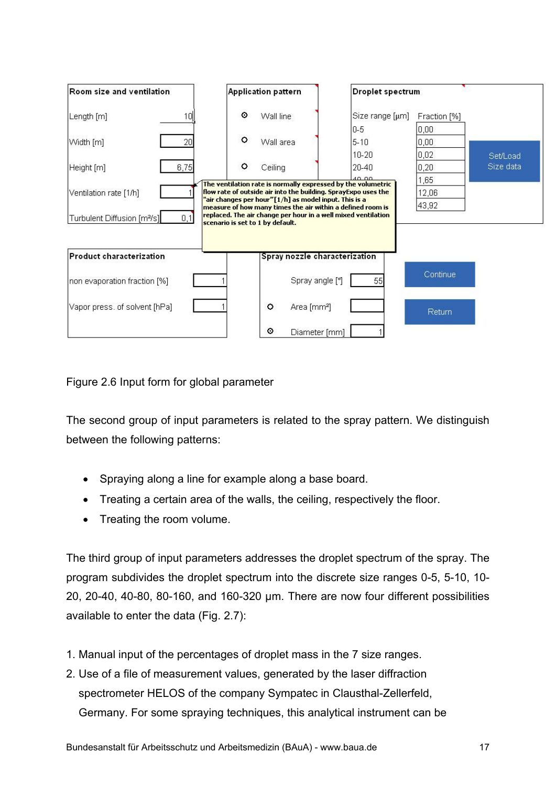| Room size and ventilation                      | <b>Application pattern</b>                                                                                                                                      | <b>Droplet spectrum</b> |              |           |
|------------------------------------------------|-----------------------------------------------------------------------------------------------------------------------------------------------------------------|-------------------------|--------------|-----------|
| 10 <sup>1</sup><br>Length [m]                  | ◉<br>Wall line                                                                                                                                                  | Size range [µm]         | Fraction [%] |           |
|                                                |                                                                                                                                                                 | $0-5$                   | 0,00         |           |
| 20<br>Width [m]                                | $\circ$<br>Wall area                                                                                                                                            | $5 - 10$                | 0,00         |           |
|                                                |                                                                                                                                                                 | $10 - 20$               | 0,02         | Set/Load  |
| 6,75<br>Height [m]                             | $\circ$<br>Ceiling                                                                                                                                              | 20-40                   | 0,20         | Size data |
|                                                | The ventilation rate is normally expressed by the volumetric                                                                                                    | 40,00                   | 1,65         |           |
| Ventilation rate [1/h]                         | flow rate of outside air into the building. SprayExpo uses the<br>'air changes per hour"[1/h] as model input. This is a                                         |                         | 12,06        |           |
| Turbulent Diffusion [m <sup>2</sup> /s]<br>0,1 | measure of how many times the air within a defined room is<br>replaced. The air change per hour in a well mixed ventilation<br>scenario is set to 1 by default. |                         | 43,92        |           |
| Product characterization                       | Spray nozzle characterization                                                                                                                                   |                         |              |           |
| non evaporation fraction [%]                   | Spray angle [°]                                                                                                                                                 | 55                      | Continue     |           |
| Vapor press. of solvent [hPa]                  | $\circ$<br>Area [mm <sup>2</sup> ]                                                                                                                              |                         | Return       |           |
|                                                | ⊙<br>Diameter [mm]                                                                                                                                              |                         |              |           |

Figure 2.6 Input form for global parameter

The second group of input parameters is related to the spray pattern. We distinguish between the following patterns:

- Spraying along a line for example along a base board.
- Treating a certain area of the walls, the ceiling, respectively the floor.
- Treating the room volume.

The third group of input parameters addresses the droplet spectrum of the spray. The program subdivides the droplet spectrum into the discrete size ranges 0-5, 5-10, 10- 20, 20-40, 40-80, 80-160, and 160-320 μm. There are now four different possibilities available to enter the data (Fig. 2.7):

- 1. Manual input of the percentages of droplet mass in the 7 size ranges.
- 2. Use of a file of measurement values, generated by the laser diffraction spectrometer HELOS of the company Sympatec in Clausthal-Zellerfeld, Germany. For some spraying techniques, this analytical instrument can be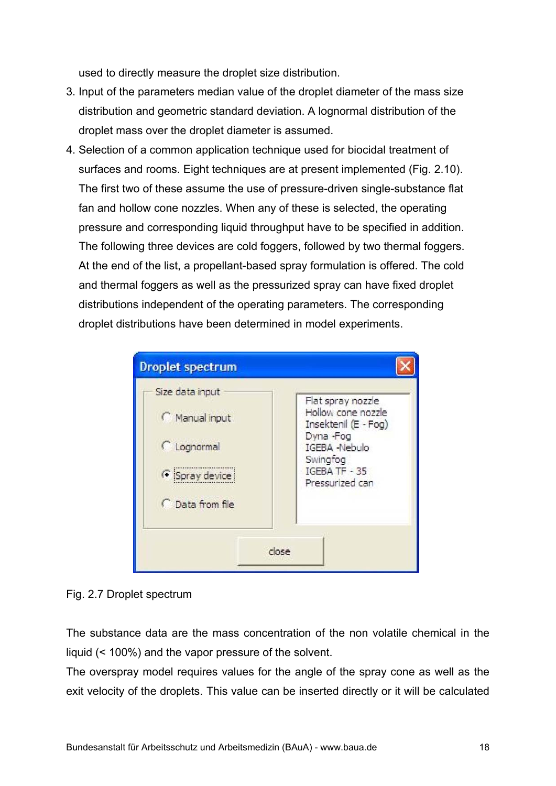used to directly measure the droplet size distribution.

- 3. Input of the parameters median value of the droplet diameter of the mass size distribution and geometric standard deviation. A lognormal distribution of the droplet mass over the droplet diameter is assumed.
- 4. Selection of a common application technique used for biocidal treatment of surfaces and rooms. Eight techniques are at present implemented (Fig. 2.10). The first two of these assume the use of pressure-driven single-substance flat fan and hollow cone nozzles. When any of these is selected, the operating pressure and corresponding liquid throughput have to be specified in addition. The following three devices are cold foggers, followed by two thermal foggers. At the end of the list, a propellant-based spray formulation is offered. The cold and thermal foggers as well as the pressurized spray can have fixed droplet distributions independent of the operating parameters. The corresponding droplet distributions have been determined in model experiments.



Fig. 2.7 Droplet spectrum

The substance data are the mass concentration of the non volatile chemical in the liquid (< 100%) and the vapor pressure of the solvent.

The overspray model requires values for the angle of the spray cone as well as the exit velocity of the droplets. This value can be inserted directly or it will be calculated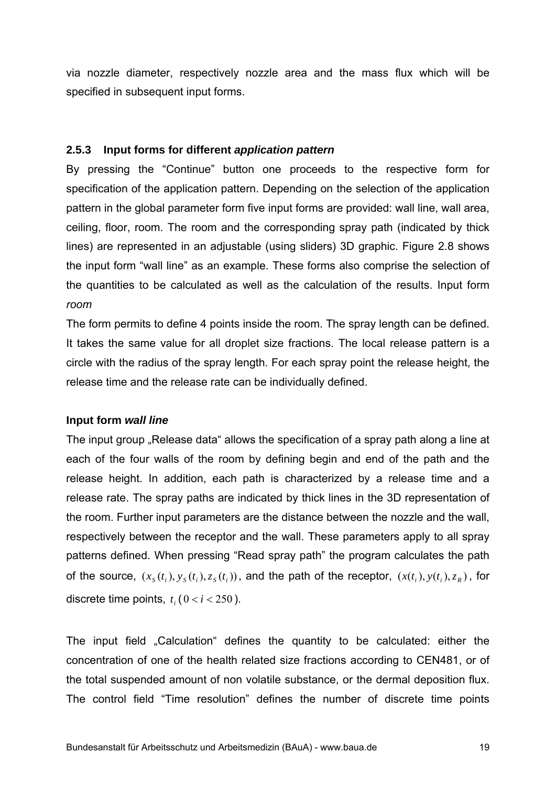via nozzle diameter, respectively nozzle area and the mass flux which will be specified in subsequent input forms.

## **2.5.3 Input forms for different** *application pattern*

By pressing the "Continue" button one proceeds to the respective form for specification of the application pattern. Depending on the selection of the application pattern in the global parameter form five input forms are provided: wall line, wall area, ceiling, floor, room. The room and the corresponding spray path (indicated by thick lines) are represented in an adjustable (using sliders) 3D graphic. Figure 2.8 shows the input form "wall line" as an example. These forms also comprise the selection of the quantities to be calculated as well as the calculation of the results. Input form *room* 

The form permits to define 4 points inside the room. The spray length can be defined. It takes the same value for all droplet size fractions. The local release pattern is a circle with the radius of the spray length. For each spray point the release height, the release time and the release rate can be individually defined.

### **Input form** *wall line*

The input group . Release data dillows the specification of a spray path along a line at each of the four walls of the room by defining begin and end of the path and the release height. In addition, each path is characterized by a release time and a release rate. The spray paths are indicated by thick lines in the 3D representation of the room. Further input parameters are the distance between the nozzle and the wall, respectively between the receptor and the wall. These parameters apply to all spray patterns defined. When pressing "Read spray path" the program calculates the path of the source,  $(x_s(t_i), y_s(t_i), z_s(t_i))$ , and the path of the receptor,  $(x(t_i), y(t_i), z_s)$ , for discrete time points,  $t \cdot (0 \lt i \lt 250)$ .

The input field "Calculation" defines the quantity to be calculated: either the concentration of one of the health related size fractions according to CEN481, or of the total suspended amount of non volatile substance, or the dermal deposition flux. The control field "Time resolution" defines the number of discrete time points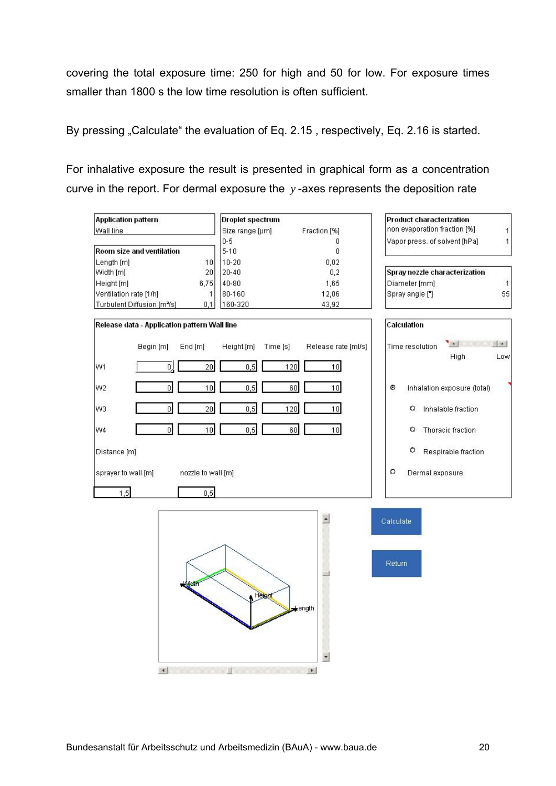covering the total exposure time: 250 for high and 50 for low. For exposure times smaller than 1800 s the low time resolution is often sufficient.

By pressing "Calculate" the evaluation of Eq. 2.15, respectively, Eq. 2.16 is started.

For inhalative exposure the result is presented in graphical form as a concentration curve in the report. For dermal exposure the *y* -axes represents the deposition rate

| <b>Application pattern</b>                     | <b>Droplet spectrum</b> |                                          | <b>Product characterization</b>                                         |  |  |
|------------------------------------------------|-------------------------|------------------------------------------|-------------------------------------------------------------------------|--|--|
| Wall line                                      | Size range [µm]         | Fraction [%]                             | non evaporation fraction [%]<br>1                                       |  |  |
|                                                | $0 - 5$                 | 0                                        | Vapor press. of solvent [hPa]<br>$\mathbf{1}$                           |  |  |
| Room size and ventilation                      | $5 - 10$                | $\overline{0}$                           |                                                                         |  |  |
| 10<br>Length [m]                               | $10 - 20$               | 0,02                                     |                                                                         |  |  |
| Width [m]<br>20                                | $20 - 40$               | 0,2                                      | Spray nozzle characterization                                           |  |  |
| 6,75<br>Height [m]                             | 40-80                   | 1,65                                     | Diameter [mm]<br>$\mathbf{1}$                                           |  |  |
| Ventilation rate [1/h]<br>1                    | 80-160                  | 12,06                                    | 55<br>Spray angle ["]                                                   |  |  |
| Turbulent Diffusion [m <sup>2</sup> /s]<br>0,1 | 160-320                 | 43,92                                    |                                                                         |  |  |
| Release data - Application pattern Wall line   |                         |                                          | Calculation                                                             |  |  |
| Begin [m]<br>End [m]                           | Height [m]<br>Time [s]  | Release rate [ml/s]                      | $\blacksquare$<br>$\vert \cdot \vert$<br>Time resolution<br>High<br>Low |  |  |
| 20<br>W1<br>0                                  | 0,5<br>120              | 10                                       |                                                                         |  |  |
| $\mathbf{0}$<br>10<br>W <sub>2</sub>           | 0,5<br>60               | 10                                       | Inhalation exposure (total)<br>۰                                        |  |  |
| 20<br>$\overline{0}$<br>W3                     | 0, 5<br>120             | 10                                       | Inhalable fraction<br>٥                                                 |  |  |
| οI<br>10<br>W4                                 | 0,5<br>60               | 10                                       | Thoracic fraction<br>0                                                  |  |  |
| Distance [m]                                   |                         |                                          | ۰<br>Respirable fraction                                                |  |  |
| sprayer to wall [m]<br>nozzle to wall [m]      |                         |                                          | ۰<br>Dermal exposure                                                    |  |  |
| 1,5<br>0,5                                     |                         |                                          |                                                                         |  |  |
|                                                |                         | $\cdot$                                  |                                                                         |  |  |
|                                                |                         |                                          | Calculate                                                               |  |  |
| <b>MMCH</b>                                    | Height                  | ength                                    | <b>Return</b>                                                           |  |  |
| $\left  \cdot \right $                         | $\blacksquare$          | $\overline{\phantom{a}}$<br>$\mathbf{F}$ |                                                                         |  |  |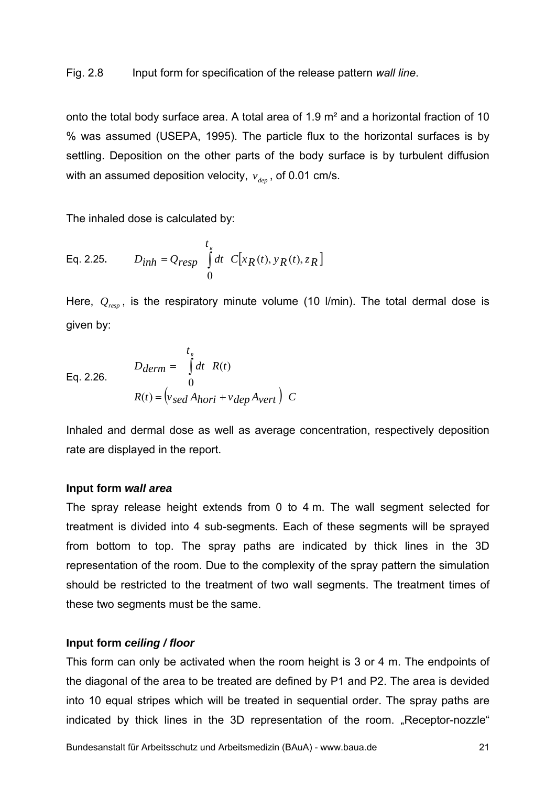#### Fig. 2.8 Input form for specification of the release pattern *wall line*.

onto the total body surface area. A total area of 1.9 m² and a horizontal fraction of 10 % was assumed (USEPA, 1995). The particle flux to the horizontal surfaces is by settling. Deposition on the other parts of the body surface is by turbulent diffusion with an assumed deposition velocity,  $v_{\text{dep}}$ , of 0.01 cm/s.

The inhaled dose is calculated by:

Eq. 2.25. 
$$
D_{inh} = Q_{resp} \int_{0}^{t_R} dt \ C[x_R(t), y_R(t), z_R]
$$

Here,  $Q_{\text{resp}}$ , is the respiratory minute volume (10 l/min). The total dermal dose is given by:

Eq. 2.26. 
$$
D_{\text{derm}} = \int_{0}^{t_R} dt \quad R(t)
$$

$$
R(t) = \left(v_{\text{sed}} A_{\text{hori}} + v_{\text{dep}} A_{\text{vert}}\right) C
$$

Inhaled and dermal dose as well as average concentration, respectively deposition rate are displayed in the report.

#### **Input form** *wall area*

The spray release height extends from 0 to 4 m. The wall segment selected for treatment is divided into 4 sub-segments. Each of these segments will be sprayed from bottom to top. The spray paths are indicated by thick lines in the 3D representation of the room. Due to the complexity of the spray pattern the simulation should be restricted to the treatment of two wall segments. The treatment times of these two segments must be the same.

#### **Input form** *ceiling / floor*

This form can only be activated when the room height is 3 or 4 m. The endpoints of the diagonal of the area to be treated are defined by P1 and P2. The area is devided into 10 equal stripes which will be treated in sequential order. The spray paths are indicated by thick lines in the 3D representation of the room. "Receptor-nozzle"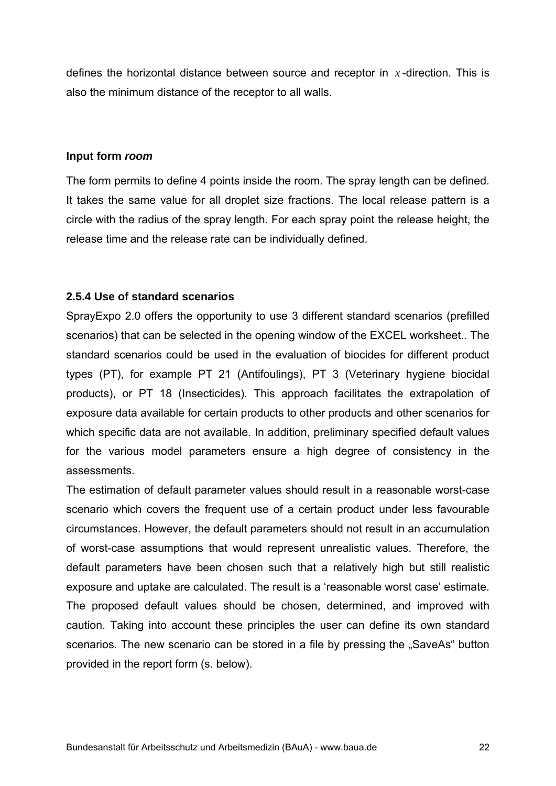defines the horizontal distance between source and receptor in *x* -direction. This is also the minimum distance of the receptor to all walls.

#### **Input form** *room*

The form permits to define 4 points inside the room. The spray length can be defined. It takes the same value for all droplet size fractions. The local release pattern is a circle with the radius of the spray length. For each spray point the release height, the release time and the release rate can be individually defined.

## **2.5.4 Use of standard scenarios**

SprayExpo 2.0 offers the opportunity to use 3 different standard scenarios (prefilled scenarios) that can be selected in the opening window of the EXCEL worksheet.. The standard scenarios could be used in the evaluation of biocides for different product types (PT), for example PT 21 (Antifoulings), PT 3 (Veterinary hygiene biocidal products), or PT 18 (Insecticides). This approach facilitates the extrapolation of exposure data available for certain products to other products and other scenarios for which specific data are not available. In addition, preliminary specified default values for the various model parameters ensure a high degree of consistency in the assessments.

The estimation of default parameter values should result in a reasonable worst-case scenario which covers the frequent use of a certain product under less favourable circumstances. However, the default parameters should not result in an accumulation of worst-case assumptions that would represent unrealistic values. Therefore, the default parameters have been chosen such that a relatively high but still realistic exposure and uptake are calculated. The result is a 'reasonable worst case' estimate. The proposed default values should be chosen, determined, and improved with caution. Taking into account these principles the user can define its own standard scenarios. The new scenario can be stored in a file by pressing the "SaveAs" button provided in the report form (s. below).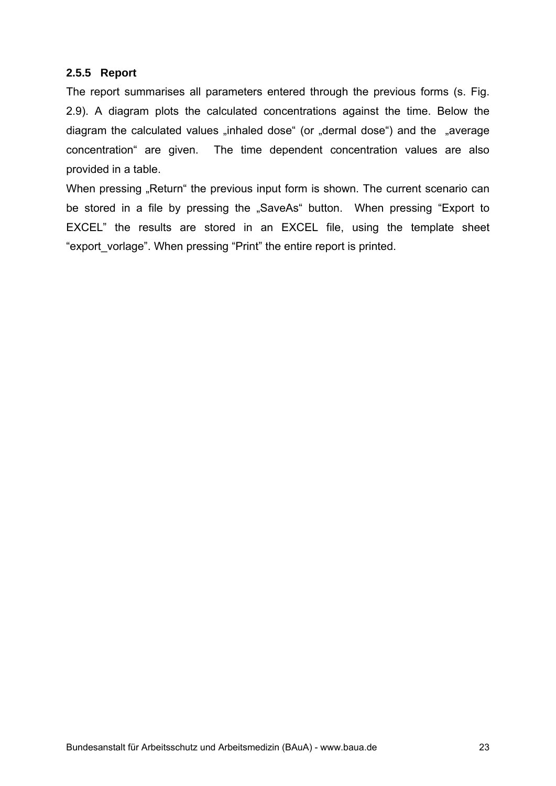### **2.5.5 Report**

The report summarises all parameters entered through the previous forms (s. Fig. 2.9). A diagram plots the calculated concentrations against the time. Below the diagram the calculated values "inhaled dose" (or "dermal dose") and the "average concentration" are given. The time dependent concentration values are also provided in a table.

When pressing "Return" the previous input form is shown. The current scenario can be stored in a file by pressing the "SaveAs" button. When pressing "Export to EXCEL" the results are stored in an EXCEL file, using the template sheet "export\_vorlage". When pressing "Print" the entire report is printed.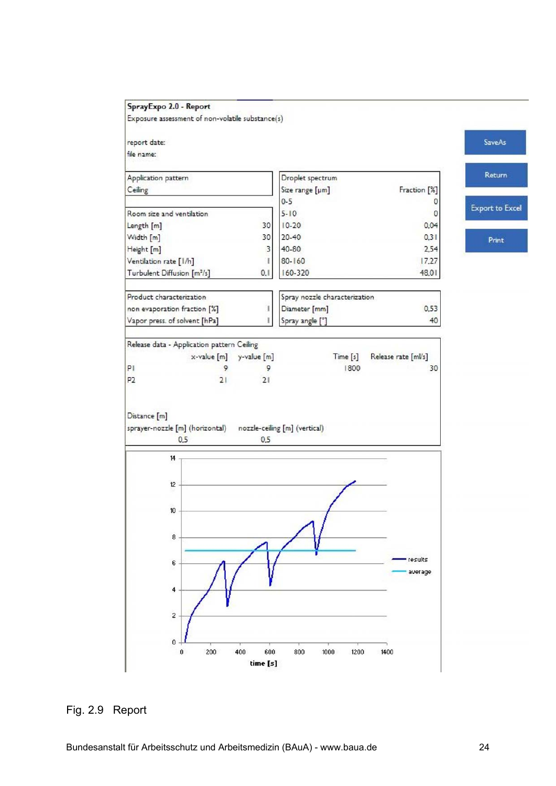

### Fig. 2.9 Report